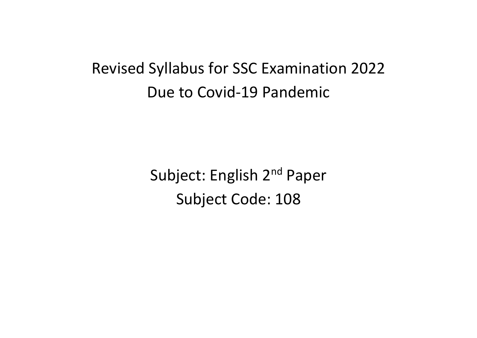# Revised Syllabus for SSC Examination 2022 Due to Covid-19 Pandemic

Subject: English 2<sup>nd</sup> Paper Subject Code: 108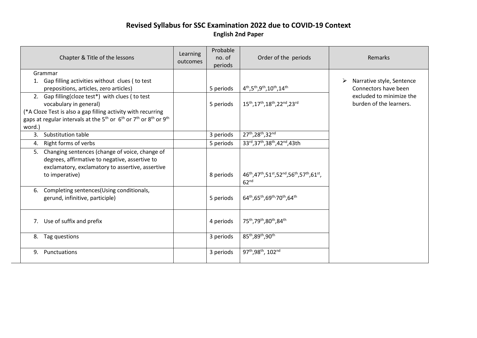#### **Revised Syllabus for SSC Examination 2022 due to COVID-19 Context English 2nd Paper**

|        | Chapter & Title of the lessons                                                                                                                                                                                                                                            | Learning<br>outcomes | Probable<br>no. of<br>periods | Order of the periods                                                                                                                                     | Remarks                                                |
|--------|---------------------------------------------------------------------------------------------------------------------------------------------------------------------------------------------------------------------------------------------------------------------------|----------------------|-------------------------------|----------------------------------------------------------------------------------------------------------------------------------------------------------|--------------------------------------------------------|
|        | Grammar                                                                                                                                                                                                                                                                   |                      |                               |                                                                                                                                                          |                                                        |
|        | 1. Gap filling activities without clues (to test<br>prepositions, articles, zero articles)                                                                                                                                                                                |                      | 5 periods                     | $4^{th}, 5^{th}, 9^{th}, 10^{th}, 14^{th}$                                                                                                               | Narrative style, Sentence<br>➤<br>Connectors have been |
| word.) | 2. Gap filling(cloze test*) with clues (to test<br>vocabulary in general)<br>(*A Cloze Test is also a gap filling activity with recurring<br>gaps at regular intervals at the 5 <sup>th</sup> or 6 <sup>th</sup> or 7 <sup>th</sup> or 8 <sup>th</sup> or 9 <sup>th</sup> |                      | 5 periods                     | 15 <sup>th</sup> , 17 <sup>th</sup> , 18 <sup>th</sup> , 22 <sup>nd</sup> , 23 <sup>rd</sup>                                                             | excluded to minimize the<br>burden of the learners.    |
|        | 3. Substitution table                                                                                                                                                                                                                                                     |                      | 3 periods                     | 27th, 28th, 32nd                                                                                                                                         |                                                        |
| 4.     | Right forms of verbs                                                                                                                                                                                                                                                      |                      | 5 periods                     | 33rd, 37th, 38th, 42nd, 43th                                                                                                                             |                                                        |
|        | 5. Changing sentences (change of voice, change of<br>degrees, affirmative to negative, assertive to<br>exclamatory, exclamatory to assertive, assertive<br>to imperative)                                                                                                 |                      | 8 periods                     | 46 <sup>th</sup> , 47 <sup>th</sup> , 51 <sup>st</sup> , 52 <sup>nd</sup> , 56 <sup>th</sup> , 57 <sup>th</sup> , 61 <sup>st</sup> ,<br>62 <sup>nd</sup> |                                                        |
| 6.     | Completing sentences (Using conditionals,<br>gerund, infinitive, participle)                                                                                                                                                                                              |                      | 5 periods                     | 64th, 65th, 69th, 70th, 64th                                                                                                                             |                                                        |
|        | 7. Use of suffix and prefix                                                                                                                                                                                                                                               |                      | 4 periods                     | 75 <sup>th</sup> , 79 <sup>th</sup> , 80 <sup>th</sup> , 84 <sup>th</sup>                                                                                |                                                        |
|        | 8. Tag questions                                                                                                                                                                                                                                                          |                      | 3 periods                     | 85 <sup>th</sup> ,89 <sup>th</sup> ,90 <sup>th</sup>                                                                                                     |                                                        |
| 9.     | Punctuations                                                                                                                                                                                                                                                              |                      | 3 periods                     | 97th, 98th, 102nd                                                                                                                                        |                                                        |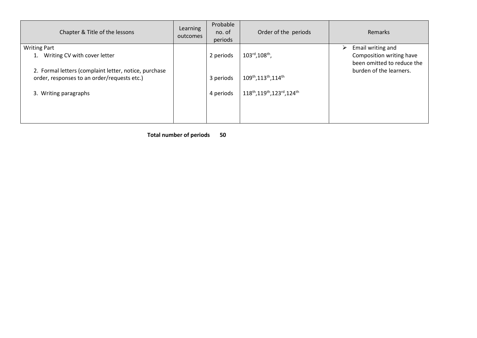| Chapter & Title of the lessons                        | Learning<br>outcomes | Probable<br>no. of<br>periods | Order of the periods                                      | <b>Remarks</b>                                         |
|-------------------------------------------------------|----------------------|-------------------------------|-----------------------------------------------------------|--------------------------------------------------------|
| <b>Writing Part</b>                                   |                      |                               |                                                           | Email writing and<br>➤                                 |
| Writing CV with cover letter                          |                      | 2 periods                     | $103^{\text{rd}}$ , $108^{\text{th}}$ ,                   | Composition writing have<br>been omitted to reduce the |
| 2. Formal letters (complaint letter, notice, purchase |                      |                               |                                                           | burden of the learners.                                |
| order, responses to an order/requests etc.)           |                      | 3 periods                     | 109 <sup>th</sup> , 113 <sup>th</sup> , 114 <sup>th</sup> |                                                        |
| 3. Writing paragraphs                                 |                      | 4 periods                     | 118th, 119th, 123rd, 124th                                |                                                        |
|                                                       |                      |                               |                                                           |                                                        |
|                                                       |                      |                               |                                                           |                                                        |

 **Total number of periods 50**